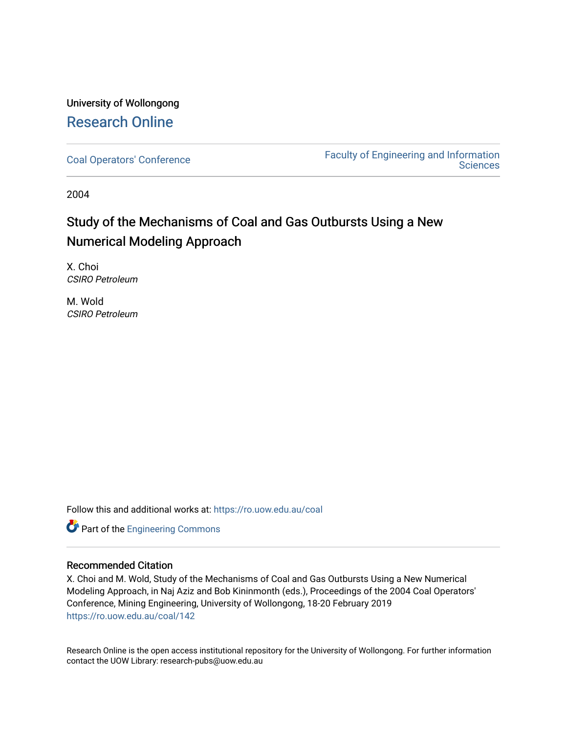# University of Wollongong [Research Online](https://ro.uow.edu.au/)

[Coal Operators' Conference](https://ro.uow.edu.au/coal) [Faculty of Engineering and Information](https://ro.uow.edu.au/eis)  **Sciences** 

2004

# Study of the Mechanisms of Coal and Gas Outbursts Using a New Numerical Modeling Approach

X. Choi CSIRO Petroleum

M. Wold CSIRO Petroleum

Follow this and additional works at: [https://ro.uow.edu.au/coal](https://ro.uow.edu.au/coal?utm_source=ro.uow.edu.au%2Fcoal%2F142&utm_medium=PDF&utm_campaign=PDFCoverPages) 

Part of the [Engineering Commons](http://network.bepress.com/hgg/discipline/217?utm_source=ro.uow.edu.au%2Fcoal%2F142&utm_medium=PDF&utm_campaign=PDFCoverPages)

# Recommended Citation

X. Choi and M. Wold, Study of the Mechanisms of Coal and Gas Outbursts Using a New Numerical Modeling Approach, in Naj Aziz and Bob Kininmonth (eds.), Proceedings of the 2004 Coal Operators' Conference, Mining Engineering, University of Wollongong, 18-20 February 2019 [https://ro.uow.edu.au/coal/142](https://ro.uow.edu.au/coal/142?utm_source=ro.uow.edu.au%2Fcoal%2F142&utm_medium=PDF&utm_campaign=PDFCoverPages) 

Research Online is the open access institutional repository for the University of Wollongong. For further information contact the UOW Library: research-pubs@uow.edu.au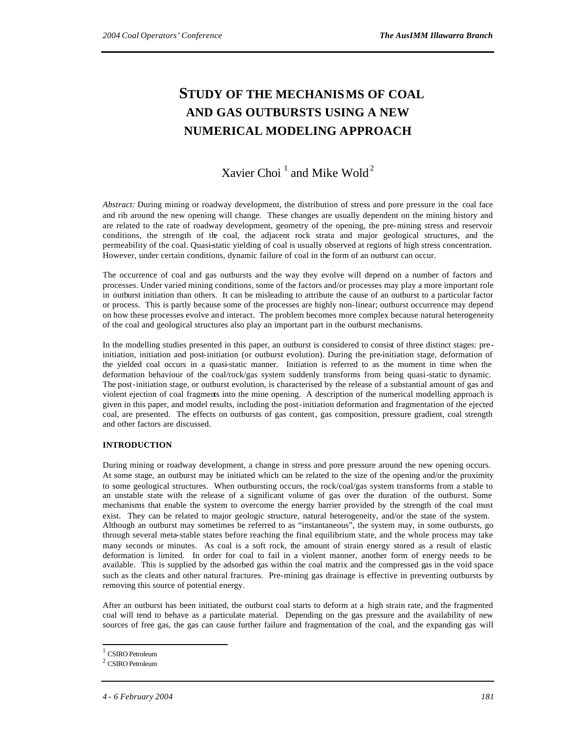# **STUDY OF THE MECHANISMS OF COAL AND GAS OUTBURSTS USING A NEW NUMERICAL MODELING APPROACH**

# Xavier Choi<sup> $1$ </sup> and Mike Wold<sup>2</sup>

*Abstract:* During mining or roadway development, the distribution of stress and pore pressure in the coal face and rib around the new opening will change. These changes are usually dependent on the mining history and are related to the rate of roadway development, geometry of the opening, the pre-mining stress and reservoir conditions, the strength of the coal, the adjacent rock strata and major geological structures, and the permeability of the coal. Quasi-static yielding of coal is usually observed at regions of high stress concentration. However, under certain conditions, dynamic failure of coal in the form of an outburst can occur.

The occurrence of coal and gas outbursts and the way they evolve will depend on a number of factors and processes. Under varied mining conditions, some of the factors and/or processes may play a more important role in outburst initiation than others. It can be misleading to attribute the cause of an outburst to a particular factor or process. This is partly because some of the processes are highly non-linear; outburst occurrence may depend on how these processes evolve and interact. The problem becomes more complex because natural heterogeneity of the coal and geological structures also play an important part in the outburst mechanisms.

In the modelling studies presented in this paper, an outburst is considered to consist of three distinct stages: preinitiation, initiation and post-initiation (or outburst evolution). During the pre-initiation stage, deformation of the yielded coal occurs in a quasi-static manner. Initiation is referred to as the moment in time when the deformation behaviour of the coal/rock/gas system suddenly transforms from being quasi-static to dynamic. The post-initiation stage, or outburst evolution, is characterised by the release of a substantial amount of gas and violent ejection of coal fragments into the mine opening. A description of the numerical modelling approach is given in this paper, and model results, including the post-initiation deformation and fragmentation of the ejected coal, are presented. The effects on outbursts of gas content, gas composition, pressure gradient, coal strength and other factors are discussed.

# **INTRODUCTION**

During mining or roadway development, a change in stress and pore pressure around the new opening occurs. At some stage, an outburst may be initiated which can be related to the size of the opening and/or the proximity to some geological structures. When outbursting occurs, the rock/coal/gas system transforms from a stable to an unstable state with the release of a significant volume of gas over the duration of the outburst. Some mechanisms that enable the system to overcome the energy barrier provided by the strength of the coal must exist. They can be related to major geologic structure, natural heterogeneity, and/or the state of the system. Although an outburst may sometimes be referred to as "instantaneous", the system may, in some outbursts, go through several meta-stable states before reaching the final equilibrium state, and the whole process may take many seconds or minutes. As coal is a soft rock, the amount of strain energy stored as a result of elastic deformation is limited. In order for coal to fail in a violent manner, another form of energy needs to be available. This is supplied by the adsorbed gas within the coal matrix and the compressed gas in the void space such as the cleats and other natural fractures. Pre-mining gas drainage is effective in preventing outbursts by removing this source of potential energy.

After an outburst has been initiated, the outburst coal starts to deform at a high strain rate, and the fragmented coal will tend to behave as a particulate material. Depending on the gas pressure and the availability of new sources of free gas, the gas can cause further failure and fragmentation of the coal, and the expanding gas will

 $\overline{a}$ 

<sup>1</sup> CSIRO Petroleum

<sup>2</sup> CSIRO Petroleum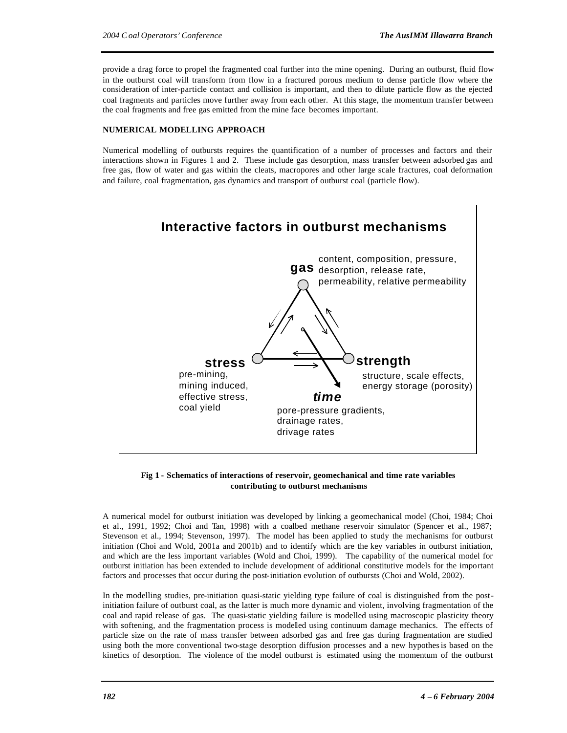provide a drag force to propel the fragmented coal further into the mine opening. During an outburst, fluid flow in the outburst coal will transform from flow in a fractured porous medium to dense particle flow where the consideration of inter-particle contact and collision is important, and then to dilute particle flow as the ejected coal fragments and particles move further away from each other. At this stage, the momentum transfer between the coal fragments and free gas emitted from the mine face becomes important.

# **NUMERICAL MODELLING APPROACH**

Numerical modelling of outbursts requires the quantification of a number of processes and factors and their interactions shown in Figures 1 and 2. These include gas desorption, mass transfer between adsorbed gas and free gas, flow of water and gas within the cleats, macropores and other large scale fractures, coal deformation and failure, coal fragmentation, gas dynamics and transport of outburst coal (particle flow).



# **Fig 1 - Schematics of interactions of reservoir, geomechanical and time rate variables contributing to outburst mechanisms**

A numerical model for outburst initiation was developed by linking a geomechanical model (Choi, 1984; Choi et al., 1991, 1992; Choi and Tan, 1998) with a coalbed methane reservoir simulator (Spencer et al., 1987; Stevenson et al., 1994; Stevenson, 1997). The model has been applied to study the mechanisms for outburst initiation (Choi and Wold, 2001a and 2001b) and to identify which are the key variables in outburst initiation, and which are the less important variables (Wold and Choi, 1999). The capability of the numerical model for outburst initiation has been extended to include development of additional constitutive models for the important factors and processes that occur during the post-initiation evolution of outbursts (Choi and Wold, 2002).

In the modelling studies, pre-initiation quasi-static yielding type failure of coal is distinguished from the postinitiation failure of outburst coal, as the latter is much more dynamic and violent, involving fragmentation of the coal and rapid release of gas. The quasi-static yielding failure is modelled using macroscopic plasticity theory with softening, and the fragmentation process is modelled using continuum damage mechanics. The effects of particle size on the rate of mass transfer between adsorbed gas and free gas during fragmentation are studied using both the more conventional two-stage desorption diffusion processes and a new hypothesis based on the kinetics of desorption. The violence of the model outburst is estimated using the momentum of the outburst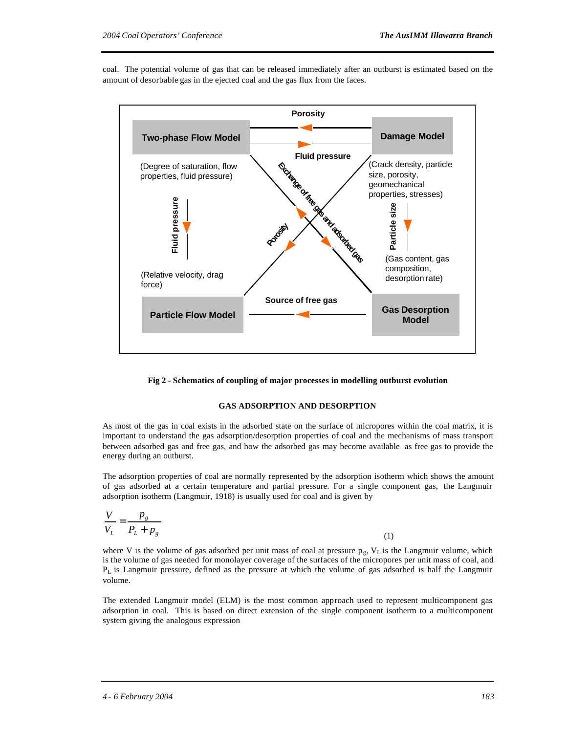coal. The potential volume of gas that can be released immediately after an outburst is estimated based on the amount of desorbable gas in the ejected coal and the gas flux from the faces.



# **Fig 2 - Schematics of coupling of major processes in modelling outburst evolution**

#### **GAS ADSORPTION AND DESORPTION**

As most of the gas in coal exists in the adsorbed state on the surface of micropores within the coal matrix, it is important to understand the gas adsorption/desorption properties of coal and the mechanisms of mass transport between adsorbed gas and free gas, and how the adsorbed gas may become available as free gas to provide the energy during an outburst.

The adsorption properties of coal are normally represented by the adsorption isotherm which shows the amount of gas adsorbed at a certain temperature and partial pressure. For a single component gas, the Langmuir adsorption isotherm (Langmuir, 1918) is usually used for coal and is given by

$$
\frac{V}{V_L} = \frac{P_g}{P_L + P_g}
$$

(1)

where V is the volume of gas adsorbed per unit mass of coal at pressure  $p_g$ ,  $V_L$  is the Langmuir volume, which is the volume of gas needed for monolayer coverage of the surfaces of the micropores per unit mass of coal, and PL is Langmuir pressure, defined as the pressure at which the volume of gas adsorbed is half the Langmuir volume.

The extended Langmuir model (ELM) is the most common approach used to represent multicomponent gas adsorption in coal. This is based on direct extension of the single component isotherm to a multicomponent system giving the analogous expression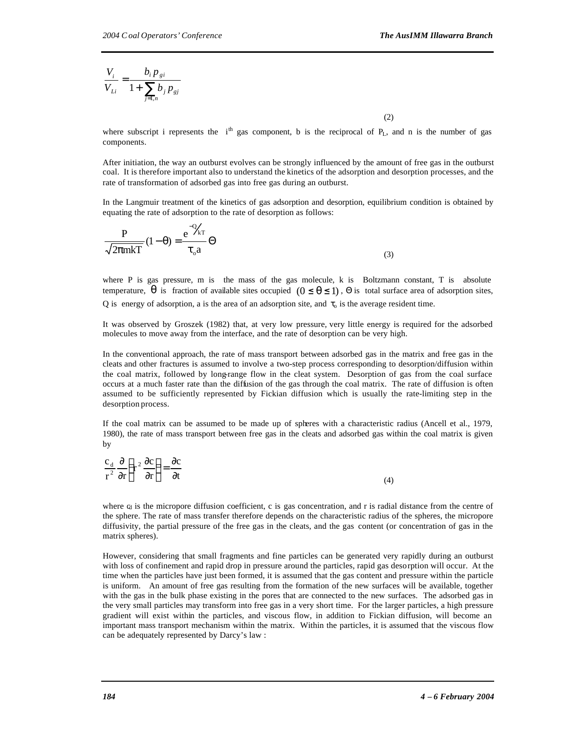$$
\frac{V_i}{V_{Li}} = \frac{b_i p_{gi}}{1 + \sum_{j=1,n} b_j p_{sj}}
$$

(2)

where subscript i represents the  $i<sup>th</sup>$  gas component, b is the reciprocal of  $P_L$ , and n is the number of gas components.

After initiation, the way an outburst evolves can be strongly influenced by the amount of free gas in the outburst coal. It is therefore important also to understand the kinetics of the adsorption and desorption processes, and the rate of transformation of adsorbed gas into free gas during an outburst.

In the Langmuir treatment of the kinetics of gas adsorption and desorption, equilibrium condition is obtained by equating the rate of adsorption to the rate of desorption as follows:

$$
\frac{P}{\sqrt{2\pi m kT}}(1-\theta) = \frac{e^{-\phi_{kT}}}{\tau_{0} a} \Theta
$$
\n(3)

where P is gas pressure, m is the mass of the gas molecule, k is Boltzmann constant, T is absolute temperature,  $\theta$  is fraction of available sites occupied  $(0 \le \theta \le 1)$ ,  $\Theta$  is total surface area of adsorption sites, Q is energy of adsorption, a is the area of an adsorption site, and  $\tau_0$  is the average resident time.

It was observed by Groszek (1982) that, at very low pressure, very little energy is required for the adsorbed molecules to move away from the interface, and the rate of desorption can be very high.

In the conventional approach, the rate of mass transport between adsorbed gas in the matrix and free gas in the cleats and other fractures is assumed to involve a two-step process corresponding to desorption/diffusion within the coal matrix, followed by long-range flow in the cleat system. Desorption of gas from the coal surface occurs at a much faster rate than the diffusion of the gas through the coal matrix. The rate of diffusion is often assumed to be sufficiently represented by Fickian diffusion which is usually the rate-limiting step in the desorption process.

If the coal matrix can be assumed to be made up of spheres with a characteristic radius (Ancell et al., 1979, 1980), the rate of mass transport between free gas in the cleats and adsorbed gas within the coal matrix is given by

$$
\frac{c_d}{r^2} \frac{\partial}{\partial r} \left( r^2 \frac{\partial c}{\partial r} \right) = \frac{\partial c}{\partial t}
$$
\n(4)

where  $c<sub>d</sub>$  is the micropore diffusion coefficient, c is gas concentration, and r is radial distance from the centre of the sphere. The rate of mass transfer therefore depends on the characteristic radius of the spheres, the micropore diffusivity, the partial pressure of the free gas in the cleats, and the gas content (or concentration of gas in the matrix spheres).

However, considering that small fragments and fine particles can be generated very rapidly during an outburst with loss of confinement and rapid drop in pressure around the particles, rapid gas desorption will occur. At the time when the particles have just been formed, it is assumed that the gas content and pressure within the particle is uniform. An amount of free gas resulting from the formation of the new surfaces will be available, together with the gas in the bulk phase existing in the pores that are connected to the new surfaces. The adsorbed gas in the very small particles may transform into free gas in a very short time. For the larger particles, a high pressure gradient will exist within the particles, and viscous flow, in addition to Fickian diffusion, will become an important mass transport mechanism within the matrix. Within the particles, it is assumed that the viscous flow can be adequately represented by Darcy's law :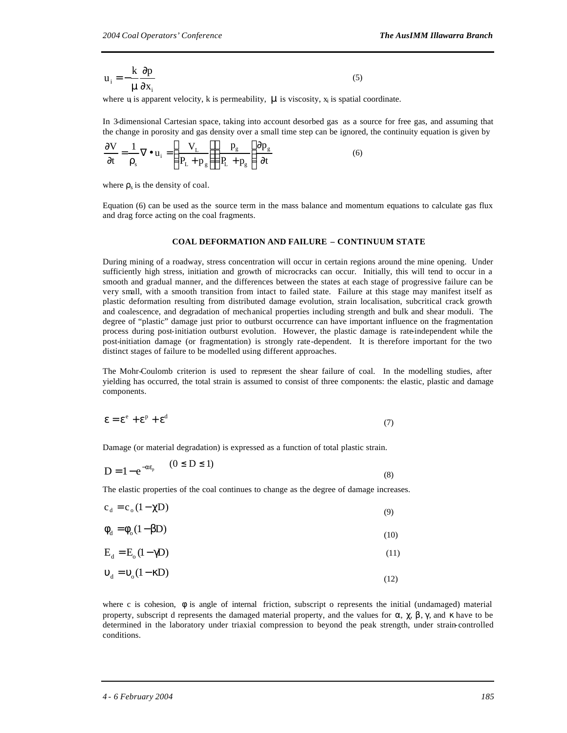$$
u_i = -\frac{k}{\mu} \frac{\partial p}{\partial x_i}
$$
 (5)

where u is apparent velocity, k is permeability,  $\mu$  is viscosity,  $x_i$  is spatial coordinate.

In 3-dimensional Cartesian space, taking into account desorbed gas as a source for free gas, and assuming that the change in porosity and gas density over a small time step can be ignored, the continuity equation is given by

$$
\frac{\partial V}{\partial t} = \frac{1}{\rho_s} \nabla \bullet u_i = \left(\frac{V_L}{P_L + p_g}\right) \left(\frac{p_g}{P_L + p_g}\right) \frac{\partial p_g}{\partial t}
$$
(6)

where  $\rho_s$  is the density of coal.

Equation (6) can be used as the source term in the mass balance and momentum equations to calculate gas flux and drag force acting on the coal fragments.

#### **COAL DEFORMATION AND FAILURE – CONTINUUM STATE**

During mining of a roadway, stress concentration will occur in certain regions around the mine opening. Under sufficiently high stress, initiation and growth of microcracks can occur. Initially, this will tend to occur in a smooth and gradual manner, and the differences between the states at each stage of progressive failure can be very small, with a smooth transition from intact to failed state. Failure at this stage may manifest itself as plastic deformation resulting from distributed damage evolution, strain localisation, subcritical crack growth and coalescence, and degradation of mechanical properties including strength and bulk and shear moduli. The degree of "plastic" damage just prior to outburst occurrence can have important influence on the fragmentation process during post-initiation outburst evolution. However, the plastic damage is rate-independent while the post-initiation damage (or fragmentation) is strongly rate-dependent. It is therefore important for the two distinct stages of failure to be modelled using different approaches.

The Mohr-Coulomb criterion is used to represent the shear failure of coal. In the modelling studies, after yielding has occurred, the total strain is assumed to consist of three components: the elastic, plastic and damage components.

$$
\varepsilon = \varepsilon^e + \varepsilon^p + \varepsilon^d \tag{7}
$$

Damage (or material degradation) is expressed as a function of total plastic strain.

 $(0 \times D \times 1)$ 

$$
D = 1 - e^{-\alpha \varepsilon_p} \qquad (0 \le D \le 1)
$$
\n<sup>(8)</sup>

The elastic properties of the coal continues to change as the degree of damage increases.

$$
c_d = c_o (1 - \chi D) \tag{9}
$$

$$
\phi_d = \phi_o (1 - \beta D) \tag{10}
$$

$$
E_{d} = E_{o} (1 - \gamma D) \tag{11}
$$

$$
v_d = v_o (1 - \kappa D) \tag{12}
$$

where c is cohesion, φ is angle of internal friction, subscript o represents the initial (undamaged) material property, subscript d represents the damaged material property, and the values for α,  $\chi$ , β,  $\gamma$ , and κ have to be determined in the laboratory under triaxial compression to beyond the peak strength, under strain-controlled conditions.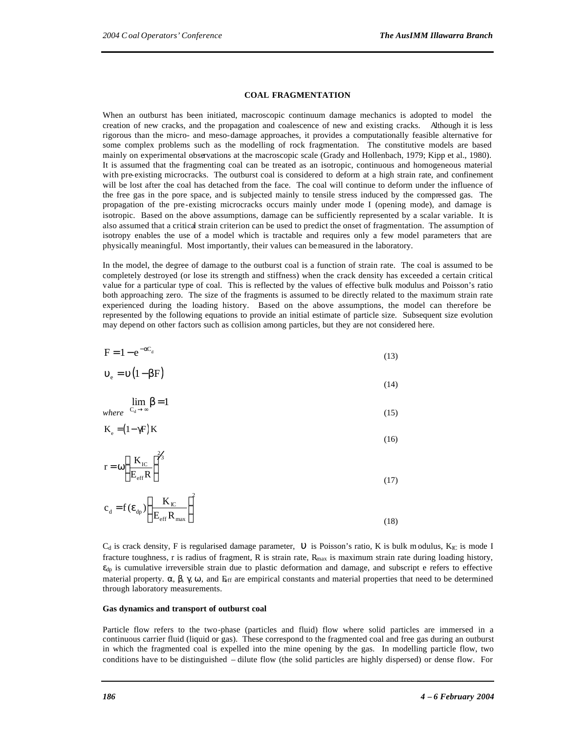## **COAL FRAGMENTATION**

When an outburst has been initiated, macroscopic continuum damage mechanics is adopted to model the creation of new cracks, and the propagation and coalescence of new and existing cracks. Although it is less rigorous than the micro- and meso-damage approaches, it provides a computationally feasible alternative for some complex problems such as the modelling of rock fragmentation. The constitutive models are based mainly on experimental observations at the macroscopic scale (Grady and Hollenbach, 1979; Kipp et al., 1980). It is assumed that the fragmenting coal can be treated as an isotropic, continuous and homogeneous material with pre-existing microcracks. The outburst coal is considered to deform at a high strain rate, and confinement will be lost after the coal has detached from the face. The coal will continue to deform under the influence of the free gas in the pore space, and is subjected mainly to tensile stress induced by the compressed gas. The propagation of the pre-existing microcracks occurs mainly under mode I (opening mode), and damage is isotropic. Based on the above assumptions, damage can be sufficiently represented by a scalar variable. It is also assumed that a critical strain criterion can be used to predict the onset of fragmentation. The assumption of isotropy enables the use of a model which is tractable and requires only a few model parameters that are physically meaningful. Most importantly, their values can be measured in the laboratory.

In the model, the degree of damage to the outburst coal is a function of strain rate. The coal is assumed to be completely destroyed (or lose its strength and stiffness) when the crack density has exceeded a certain critical value for a particular type of coal. This is reflected by the values of effective bulk modulus and Poisson's ratio both approaching zero. The size of the fragments is assumed to be directly related to the maximum strain rate experienced during the loading history. Based on the above assumptions, the model can therefore be represented by the following equations to provide an initial estimate of particle size. Subsequent size evolution may depend on other factors such as collision among particles, but they are not considered here.

$$
F = 1 - e^{-\alpha C_d} \tag{13}
$$

$$
\upsilon_{\rm e} = \upsilon \left( 1 - \beta F \right) \tag{14}
$$

$$
\lim_{\text{where}} \beta = 1 \tag{15}
$$

$$
K_e = (1 - \gamma F) K
$$
\n<sup>(16)</sup>

$$
r = \omega \left(\frac{K_{\rm IC}}{E_{\rm eff}R}\right)^{2/3} \tag{17}
$$

$$
c_{d} = f(\epsilon_{dp}) \left(\frac{K_{\text{IC}}}{E_{\text{eff}} R_{\text{max}}}\right)^{2}
$$
 (18)

 $C_d$  is crack density, F is regularised damage parameter, *u* is Poisson's ratio, K is bulk m odulus, K<sub>IC</sub> is mode I fracture toughness, r is radius of fragment, R is strain rate, Rmax is maximum strain rate during loading history,  $\varepsilon_{dp}$  is cumulative irreversible strain due to plastic deformation and damage, and subscript e refers to effective material property. α, β, γ, ω, and E<sub>tff</sub> are empirical constants and material properties that need to be determined through laboratory measurements.

#### **Gas dynamics and transport of outburst coal**

Particle flow refers to the two-phase (particles and fluid) flow where solid particles are immersed in a continuous carrier fluid (liquid or gas). These correspond to the fragmented coal and free gas during an outburst in which the fragmented coal is expelled into the mine opening by the gas. In modelling particle flow, two conditions have to be distinguished – dilute flow (the solid particles are highly dispersed) or dense flow. For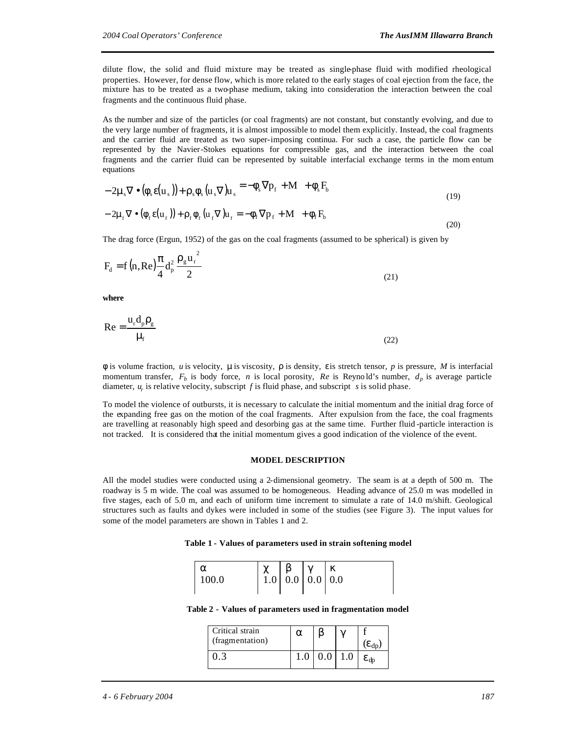(20)

dilute flow, the solid and fluid mixture may be treated as single-phase fluid with modified rheological properties. However, for dense flow, which is more related to the early stages of coal ejection from the face, the mixture has to be treated as a two-phase medium, taking into consideration the interaction between the coal fragments and the continuous fluid phase.

As the number and size of the particles (or coal fragments) are not constant, but constantly evolving, and due to the very large number of fragments, it is almost impossible to model them explicitly. Instead, the coal fragments and the carrier fluid are treated as two super-imposing continua. For such a case, the particle flow can be represented by the Navier-Stokes equations for compressible gas, and the interaction between the coal fragments and the carrier fluid can be represented by suitable interfacial exchange terms in the mom entum equations

$$
-2\mu_{s}\nabla\bullet(\phi_{s}\varepsilon(u_{s})) + \rho_{s}\phi_{s}(u_{s}\nabla)u_{s} = -\phi_{s}\nabla p_{f} + M + \phi_{s}F_{b}
$$
  

$$
-2\mu_{f}\nabla\bullet(\phi_{f}\varepsilon(u_{f})) + \rho_{f}\phi_{f}(u_{f}\nabla)u_{f} = -\phi_{f}\nabla p_{f} + M + \phi_{f}F_{b}
$$
 (19)

The drag force (Ergun, 1952) of the gas on the coal fragments (assumed to be spherical) is given by

$$
F_{d} = f(n, Re)\frac{\pi}{4}d_{p}^{2}\frac{\rho_{g}u_{r}^{2}}{2}
$$
\n(21)

**where**

$$
Re = \frac{u_r d_p \rho_g}{\mu_f} \tag{22}
$$

*f* is volume fraction, *u* is velocity, *m* is viscosity, *r* is density, *e* is stretch tensor, *p* is pressure, *M* is interfacial momentum transfer,  $F_b$  is body force, *n* is local porosity,  $Re$  is Reyno ld's number,  $d_p$  is average particle diameter, *u<sup>r</sup>* is relative velocity, subscript *f* is fluid phase, and subscript *s* is solid phase.

To model the violence of outbursts, it is necessary to calculate the initial momentum and the initial drag force of the expanding free gas on the motion of the coal fragments. After expulsion from the face, the coal fragments are travelling at reasonably high speed and desorbing gas at the same time. Further fluid -particle interaction is not tracked. It is considered that the initial momentum gives a good indication of the violence of the event.

#### **MODEL DESCRIPTION**

All the model studies were conducted using a 2-dimensional geometry. The seam is at a depth of 500 m. The roadway is 5 m wide. The coal was assumed to be homogeneous. Heading advance of 25.0 m was modelled in five stages, each of 5.0 m, and each of uniform time increment to simulate a rate of 14.0 m/shift. Geological structures such as faults and dykes were included in some of the studies (see Figure 3). The input values for some of the model parameters are shown in Tables 1 and 2.

**Table 1 - Values of parameters used in strain softening model**

| $\alpha$<br> 100.0 | $\left \begin{array}{c} \chi \\ \chi \\ 1.0 \end{array}\right  \left.\begin{array}{c} \beta \\ 0.0 \end{array}\right  \left.\begin{array}{c} \gamma \\ 0.0 \end{array}\right  \left.\begin{array}{c} \kappa \\ 0.0 \end{array}\right]$ |  |  |  |
|--------------------|----------------------------------------------------------------------------------------------------------------------------------------------------------------------------------------------------------------------------------------|--|--|--|
|--------------------|----------------------------------------------------------------------------------------------------------------------------------------------------------------------------------------------------------------------------------------|--|--|--|

|  |  |  |  | Table 2 - Values of parameters used in fragmentation model |  |
|--|--|--|--|------------------------------------------------------------|--|
|--|--|--|--|------------------------------------------------------------|--|

| Critical strain<br>(fragmentation) |  | .c |
|------------------------------------|--|----|
|                                    |  |    |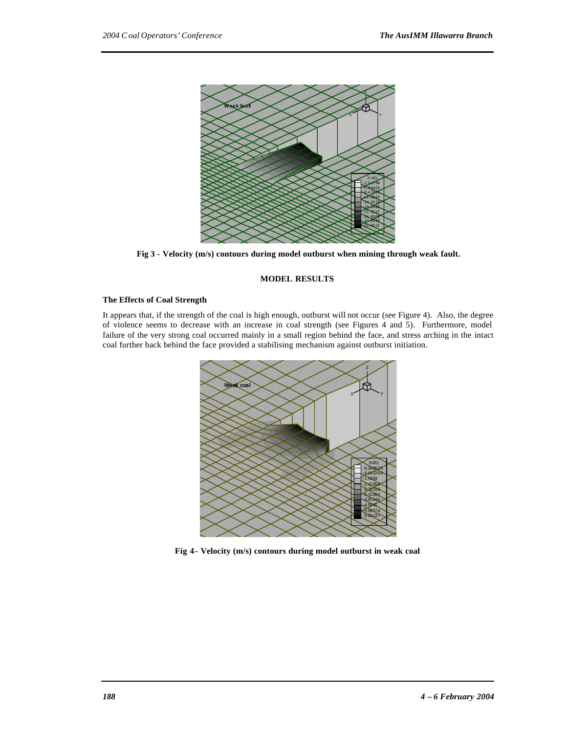

**Fig 3 - Velocity (m/s) contours during model outburst when mining through weak fault.**

# **MODEL RESULTS**

# **The Effects of Coal Strength**

It appears that, if the strength of the coal is high enough, outburst will not occur (see Figure 4). Also, the degree of violence seems to decrease with an increase in coal strength (see Figures 4 and 5). Furthermore, model failure of the very strong coal occurred mainly in a small region behind the face, and stress arching in the intact coal further back behind the face provided a stabilising mechanism against outburst initiation.



**Fig 4***-* **Velocity (m/s) contours during model outburst in weak coal**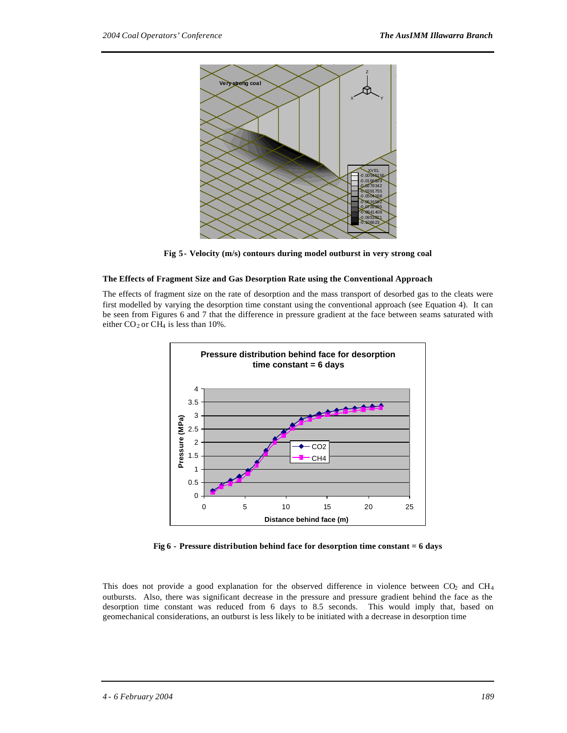

**Fig 5***-* **Velocity (m/s) contours during model outburst in very strong coal**

## **The Effects of Fragment Size and Gas Desorption Rate using the Conventional Approach**

The effects of fragment size on the rate of desorption and the mass transport of desorbed gas to the cleats were first modelled by varying the desorption time constant using the conventional approach (see Equation 4). It can be seen from Figures 6 and 7 that the difference in pressure gradient at the face between seams saturated with either  $CO_2$  or  $CH_4$  is less than 10%.



**Fig 6 - Pressure distribution behind face for desorption time constant = 6 days**

This does not provide a good explanation for the observed difference in violence between  $CO<sub>2</sub>$  and  $CH<sub>4</sub>$ outbursts. Also, there was significant decrease in the pressure and pressure gradient behind the face as the desorption time constant was reduced from 6 days to 8.5 seconds. This would imply that, based on geomechanical considerations, an outburst is less likely to be initiated with a decrease in desorption time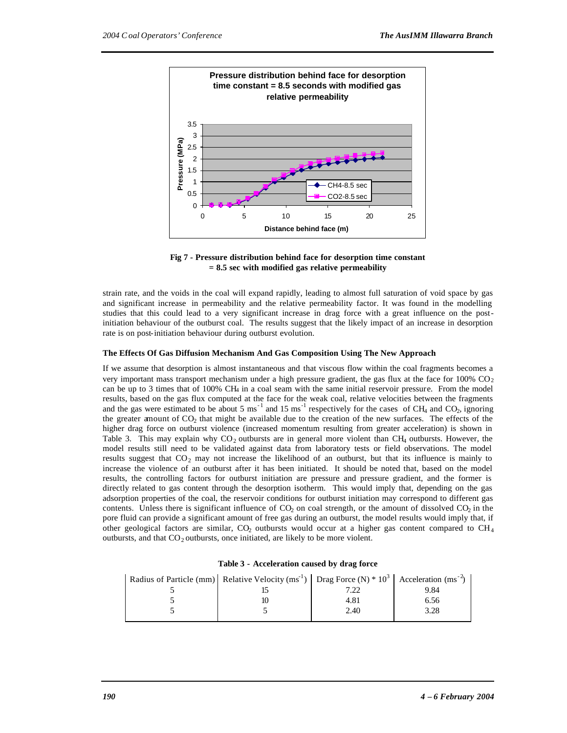



strain rate, and the voids in the coal will expand rapidly, leading to almost full saturation of void space by gas and significant increase in permeability and the relative permeability factor. It was found in the modelling studies that this could lead to a very significant increase in drag force with a great influence on the postinitiation behaviour of the outburst coal. The results suggest that the likely impact of an increase in desorption rate is on post-initiation behaviour during outburst evolution.

## **The Effects Of Gas Diffusion Mechanism And Gas Composition Using The New Approach**

If we assume that desorption is almost instantaneous and that viscous flow within the coal fragments becomes a very important mass transport mechanism under a high pressure gradient, the gas flux at the face for  $100\%$  CO<sub>2</sub> can be up to 3 times that of 100% CH4 in a coal seam with the same initial reservoir pressure. From the model results, based on the gas flux computed at the face for the weak coal, relative velocities between the fragments and the gas were estimated to be about 5 ms<sup>-1</sup> and 15 ms<sup>-1</sup> respectively for the cases of CH<sub>4</sub> and CO<sub>2</sub>, ignoring the greater amount of  $CO<sub>2</sub>$  that might be available due to the creation of the new surfaces. The effects of the higher drag force on outburst violence (increased momentum resulting from greater acceleration) is shown in Table 3. This may explain why  $CO<sub>2</sub>$  outbursts are in general more violent than  $CH<sub>4</sub>$  outbursts. However, the model results still need to be validated against data from laboratory tests or field observations. The model results suggest that  $CO_2$  may not increase the likelihood of an outburst, but that its influence is mainly to increase the violence of an outburst after it has been initiated. It should be noted that, based on the model results, the controlling factors for outburst initiation are pressure and pressure gradient, and the former is directly related to gas content through the desorption isotherm. This would imply that, depending on the gas adsorption properties of the coal, the reservoir conditions for outburst initiation may correspond to different gas contents. Unless there is significant influence of  $CO<sub>2</sub>$  on coal strength, or the amount of dissolved  $CO<sub>2</sub>$  in the pore fluid can provide a significant amount of free gas during an outburst, the model results would imply that, if other geological factors are similar, CO<sub>2</sub> outbursts would occur at a higher gas content compared to  $CH<sub>4</sub>$ outbursts, and that  $CO_2$  outbursts, once initiated, are likely to be more violent.

|  | Table 3 - Acceleration caused by drag force |  |  |  |  |
|--|---------------------------------------------|--|--|--|--|
|--|---------------------------------------------|--|--|--|--|

|  | Radius of Particle (mm) Relative Velocity (ms <sup>-1</sup> ) Drag Force (N) * 10 <sup>3</sup> Acceleration (ms <sup>-2</sup> ) |      |      |
|--|---------------------------------------------------------------------------------------------------------------------------------|------|------|
|  |                                                                                                                                 |      | 9.84 |
|  |                                                                                                                                 | 4.81 | 6.56 |
|  |                                                                                                                                 | 2.40 | 3.28 |
|  |                                                                                                                                 |      |      |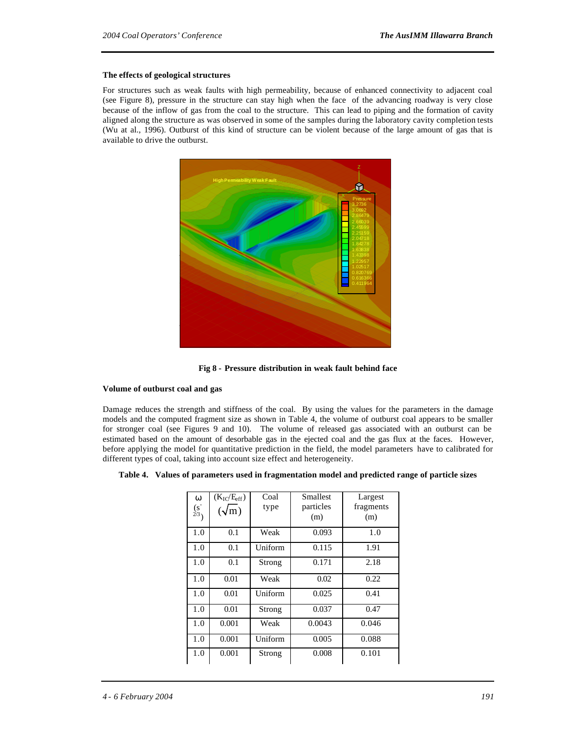## **The effects of geological structures**

For structures such as weak faults with high permeability, because of enhanced connectivity to adjacent coal (see Figure 8), pressure in the structure can stay high when the face of the advancing roadway is very close because of the inflow of gas from the coal to the structure. This can lead to piping and the formation of cavity aligned along the structure as was observed in some of the samples during the laboratory cavity completion tests (Wu at al., 1996). Outburst of this kind of structure can be violent because of the large amount of gas that is available to drive the outburst.



**Fig 8 - Pressure distribution in weak fault behind face**

# **Volume of outburst coal and gas**

Damage reduces the strength and stiffness of the coal. By using the values for the parameters in the damage models and the computed fragment size as shown in Table 4, the volume of outburst coal appears to be smaller for stronger coal (see Figures 9 and 10). The volume of released gas associated with an outburst can be estimated based on the amount of desorbable gas in the ejected coal and the gas flux at the faces. However, before applying the model for quantitative prediction in the field, the model parameters have to calibrated for different types of coal, taking into account size effect and heterogeneity.

|  |  |  |  | Table 4. Values of parameters used in fragmentation model and predicted range of particle sizes |
|--|--|--|--|-------------------------------------------------------------------------------------------------|
|--|--|--|--|-------------------------------------------------------------------------------------------------|

| $\omega$          | $(K_{IC}/E_{eff})$ | Coal    | Smallest  | Largest   |
|-------------------|--------------------|---------|-----------|-----------|
| (s <sup>2</sup> ) | $(\sqrt{m})$       | type    | particles | fragments |
| 2/3               |                    |         | (m)       | (m)       |
| 1.0               | 0.1                | Weak    | 0.093     | 1.0       |
| 1.0               | 0.1                | Uniform | 0.115     | 1.91      |
| 1.0               | 0.1                | Strong  | 0.171     | 2.18      |
| 1.0               | 0.01               | Weak    | 0.02      | 0.22      |
| 1.0               | 0.01               | Uniform | 0.025     | 0.41      |
| 1.0               | 0.01               | Strong  | 0.037     | 0.47      |
| 1.0               | 0.001              | Weak    | 0.0043    | 0.046     |
| 1.0               | 0.001              | Uniform | 0.005     | 0.088     |
| 1.0               | 0.001              | Strong  | 0.008     | 0.101     |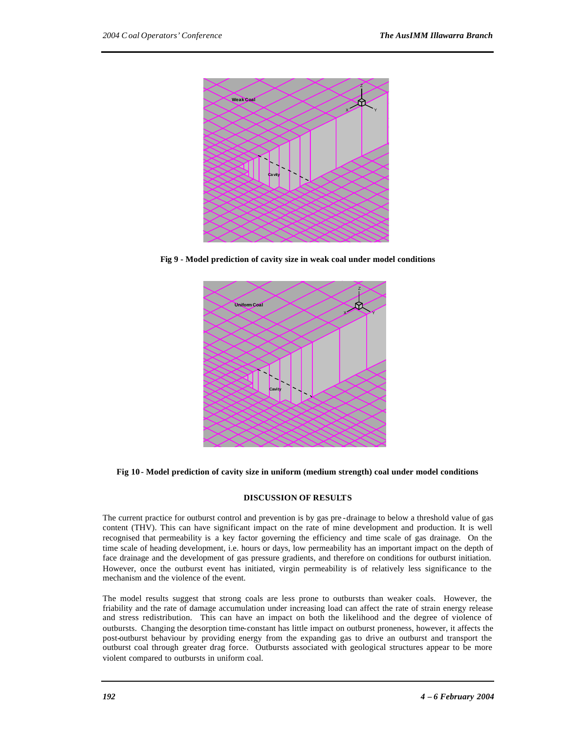

**Fig 9 - Model prediction of cavity size in weak coal under model conditions**



# **Fig 10 - Model prediction of cavity size in uniform (medium strength) coal under model conditions**

# **DISCUSSION OF RESULTS**

The current practice for outburst control and prevention is by gas pre -drainage to below a threshold value of gas content (THV). This can have significant impact on the rate of mine development and production. It is well recognised that permeability is a key factor governing the efficiency and time scale of gas drainage. On the time scale of heading development, i.e. hours or days, low permeability has an important impact on the depth of face drainage and the development of gas pressure gradients, and therefore on conditions for outburst initiation. However, once the outburst event has initiated, virgin permeability is of relatively less significance to the mechanism and the violence of the event.

The model results suggest that strong coals are less prone to outbursts than weaker coals. However, the friability and the rate of damage accumulation under increasing load can affect the rate of strain energy release and stress redistribution. This can have an impact on both the likelihood and the degree of violence of outbursts. Changing the desorption time-constant has little impact on outburst proneness, however, it affects the post-outburst behaviour by providing energy from the expanding gas to drive an outburst and transport the outburst coal through greater drag force. Outbursts associated with geological structures appear to be more violent compared to outbursts in uniform coal.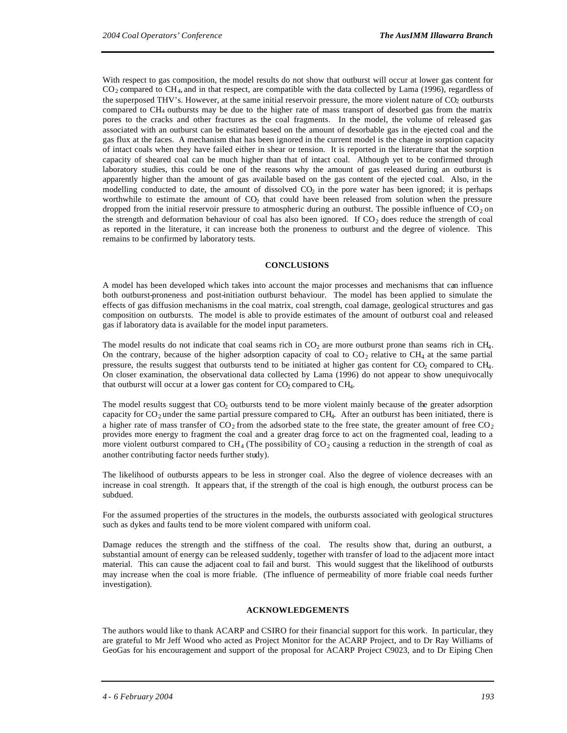With respect to gas composition, the model results do not show that outburst will occur at lower gas content for CO2 compared to CH4, and in that respect, are compatible with the data collected by Lama (1996), regardless of the superposed THV's. However, at the same initial reservoir pressure, the more violent nature of CO<sub>2</sub> outbursts compared to CH4 outbursts may be due to the higher rate of mass transport of desorbed gas from the matrix pores to the cracks and other fractures as the coal fragments. In the model, the volume of released gas associated with an outburst can be estimated based on the amount of desorbable gas in the ejected coal and the gas flux at the faces. A mechanism that has been ignored in the current model is the change in sorption capacity of intact coals when they have failed either in shear or tension. It is reported in the literature that the sorption capacity of sheared coal can be much higher than that of intact coal. Although yet to be confirmed through laboratory studies, this could be one of the reasons why the amount of gas released during an outburst is apparently higher than the amount of gas available based on the gas content of the ejected coal. Also, in the modelling conducted to date, the amount of dissolved  $CO<sub>2</sub>$  in the pore water has been ignored; it is perhaps worthwhile to estimate the amount of CO<sub>2</sub> that could have been released from solution when the pressure dropped from the initial reservoir pressure to atmospheric during an outburst. The possible influence of  $CO_2$  on the strength and deformation behaviour of coal has also been ignored. If  $CO<sub>2</sub>$  does reduce the strength of coal as reported in the literature, it can increase both the proneness to outburst and the degree of violence. This remains to be confirmed by laboratory tests.

# **CONCLUSIONS**

A model has been developed which takes into account the major processes and mechanisms that can influence both outburst-proneness and post-initiation outburst behaviour. The model has been applied to simulate the effects of gas diffusion mechanisms in the coal matrix, coal strength, coal damage, geological structures and gas composition on outbursts. The model is able to provide estimates of the amount of outburst coal and released gas if laboratory data is available for the model input parameters.

The model results do not indicate that coal seams rich in  $CO<sub>2</sub>$  are more outburst prone than seams rich in CH<sub>4</sub>. On the contrary, because of the higher adsorption capacity of coal to  $CO_2$  relative to  $CH_4$  at the same partial pressure, the results suggest that outbursts tend to be initiated at higher gas content for CO<sub>2</sub> compared to CH<sub>4</sub>. On closer examination, the observational data collected by Lama (1996) do not appear to show unequivocally that outburst will occur at a lower gas content for  $CO<sub>2</sub>$  compared to  $CH<sub>4</sub>$ .

The model results suggest that CO<sub>2</sub> outbursts tend to be more violent mainly because of the greater adsorption capacity for  $CO_2$  under the same partial pressure compared to CH<sub>4</sub>. After an outburst has been initiated, there is a higher rate of mass transfer of  $CO<sub>2</sub>$  from the adsorbed state to the free state, the greater amount of free  $CO<sub>2</sub>$ provides more energy to fragment the coal and a greater drag force to act on the fragmented coal, leading to a more violent outburst compared to  $CH_4$  (The possibility of  $CO_2$  causing a reduction in the strength of coal as another contributing factor needs further study).

The likelihood of outbursts appears to be less in stronger coal. Also the degree of violence decreases with an increase in coal strength. It appears that, if the strength of the coal is high enough, the outburst process can be subdued.

For the assumed properties of the structures in the models, the outbursts associated with geological structures such as dykes and faults tend to be more violent compared with uniform coal.

Damage reduces the strength and the stiffness of the coal. The results show that, during an outburst, a substantial amount of energy can be released suddenly, together with transfer of load to the adjacent more intact material. This can cause the adjacent coal to fail and burst. This would suggest that the likelihood of outbursts may increase when the coal is more friable. (The influence of permeability of more friable coal needs further investigation).

## **ACKNOWLEDGEMENTS**

The authors would like to thank ACARP and CSIRO for their financial support for this work. In particular, they are grateful to Mr Jeff Wood who acted as Project Monitor for the ACARP Project, and to Dr Ray Williams of GeoGas for his encouragement and support of the proposal for ACARP Project C9023, and to Dr Eiping Chen